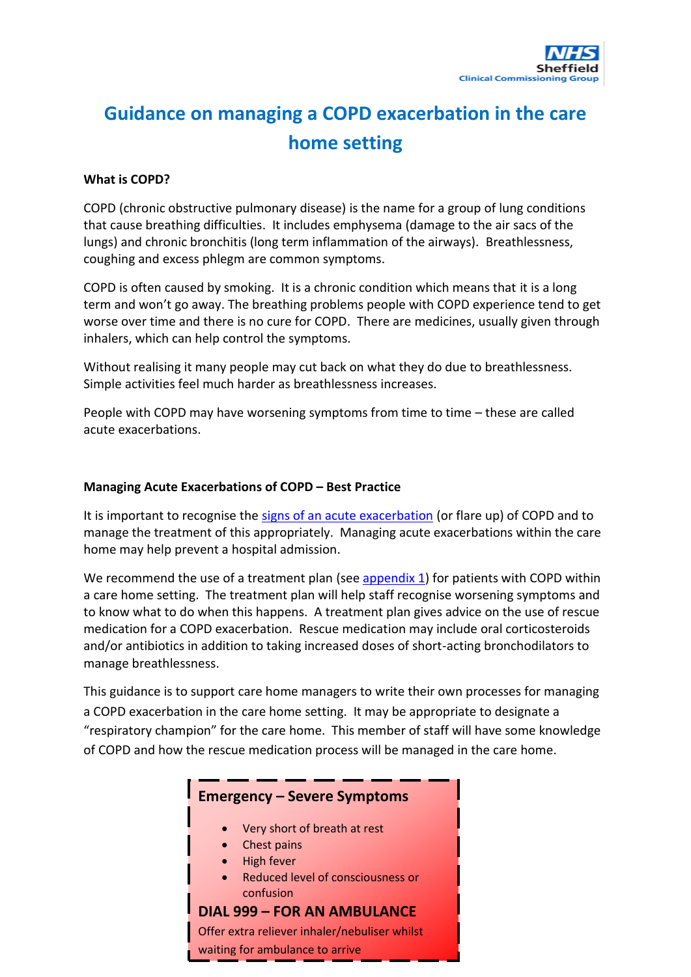# **Guidance on managing a COPD exacerbation in the care home setting**

### **What is COPD?**

COPD (chronic obstructive pulmonary disease) is the name for a group of lung conditions that cause breathing difficulties. It includes emphysema (damage to the air sacs of the lungs) and chronic bronchitis (long term inflammation of the airways). Breathlessness, coughing and excess phlegm are common symptoms.

COPD is often caused by smoking. It is a chronic condition which means that it is a long term and won't go away. The breathing problems people with COPD experience tend to get worse over time and there is no cure for COPD. There are medicines, usually given through inhalers, which can help control the symptoms.

Without realising it many people may cut back on what they do due to breathlessness. Simple activities feel much harder as breathlessness increases.

People with COPD may have worsening symptoms from time to time – these are called acute exacerbations.

### **Managing Acute Exacerbations of COPD – Best Practice**

It is important to recognise the [signs of an acute exacerbation](#page-3-0) (or flare up) of COPD and to manage the treatment of this appropriately. Managing acute exacerbations within the care home may help prevent a hospital admission.

We recommend the use of a treatment plan (se[e appendix 1\)](#page-2-0) for patients with COPD within a care home setting. The treatment plan will help staff recognise worsening symptoms and to know what to do when this happens. A treatment plan gives advice on the use of rescue medication for a COPD exacerbation. Rescue medication may include oral corticosteroids and/or antibiotics in addition to taking increased doses of short-acting bronchodilators to manage breathlessness.

This guidance is to support care home managers to write their own processes for managing a COPD exacerbation in the care home setting. It may be appropriate to designate a "respiratory champion" for the care home. This member of staff will have some knowledge of COPD and how the rescue medication process will be managed in the care home.

### <span id="page-0-0"></span>**Emergency – Severe Symptoms**

- Very short of breath at rest
- Chest pains
- High fever
- Reduced level of consciousness or confusion

## **DIAL 999 – FOR AN AMBULANCE**

Offer extra reliever inhaler/nebuliser whilst waiting for ambulance to arrive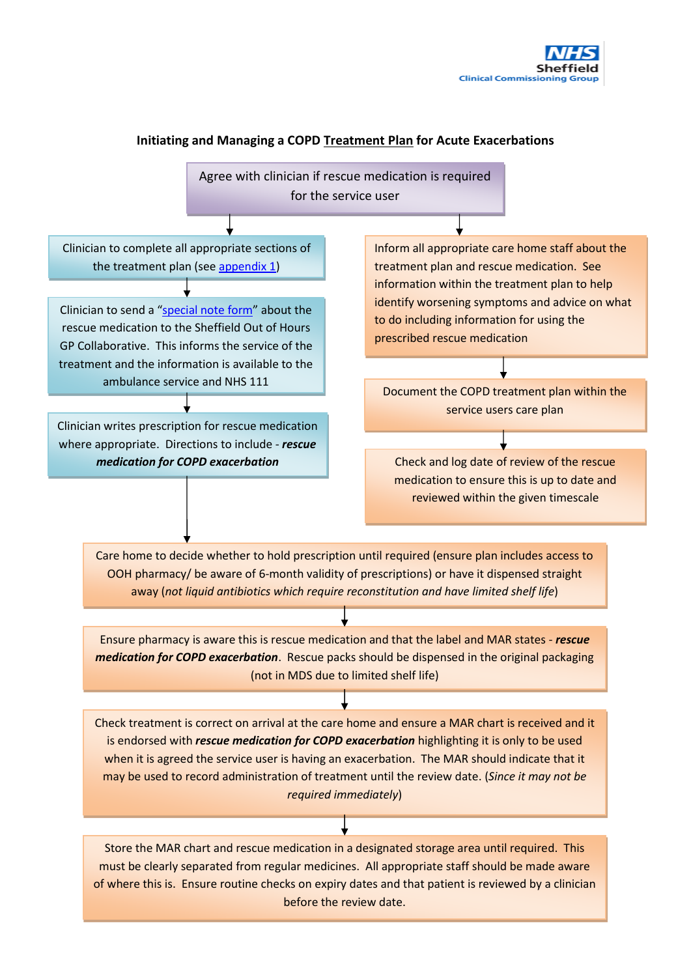

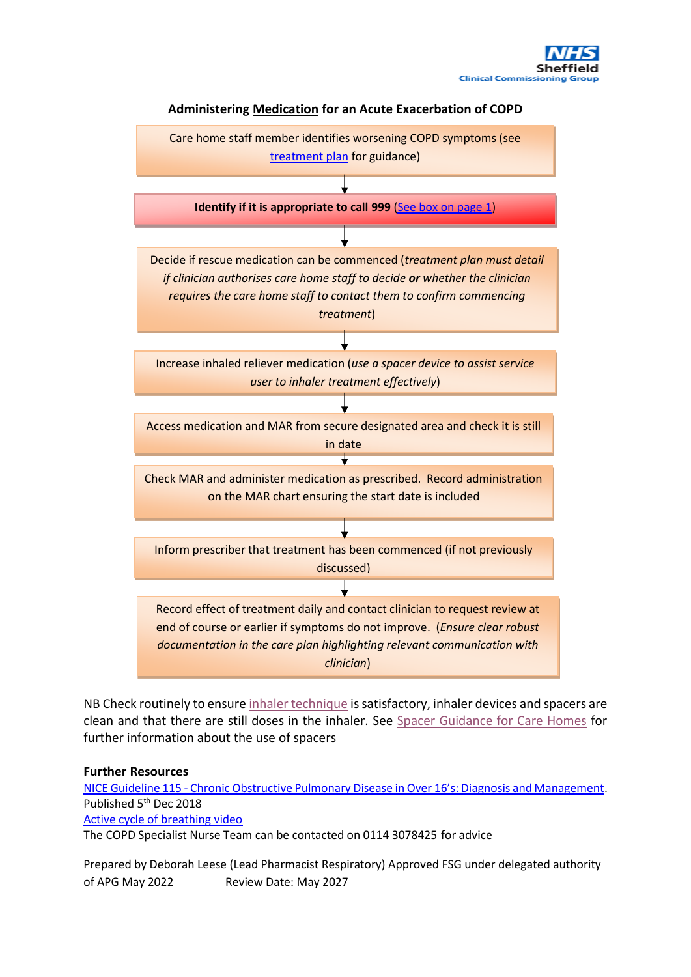





NB Check routinely to ensur[e inhaler technique](https://www.asthma.org.uk/advice/inhaler-videos/) is satisfactory, inhaler devices and spacers are clean and that there are still doses in the inhaler. See [Spacer Guidance for Care Homes](https://www.intranet.sheffieldccg.nhs.uk/Downloads/Medicines%20Management/Care%20Homes/Spacer_guidance_for_care_homes_Apr_2022_v2.pdf) for further information about the use of spacers

#### **Further Resources**

<span id="page-2-1"></span>NICE Guideline 115 - [Chronic Obstructive Pulmonary Disease in Over 16's: Diagnosis and Management](https://www.nice.org.uk/guidance/ng115/resources/chronic-obstructive-pulmonary-disease-in-over-16s-diagnosis-and-management-pdf-66141600098245). Published 5<sup>th</sup> Dec 2018 [Active cycle of breathing video](https://www.youtube.com/watch?v=qpzJmjtir08&t=25s)

The COPD Specialist Nurse Team can be contacted on 0114 3078425 for advice

<span id="page-2-0"></span>Prepared by Deborah Leese (Lead Pharmacist Respiratory) Approved FSG under delegated authority of APG May 2022 Review Date: May 2027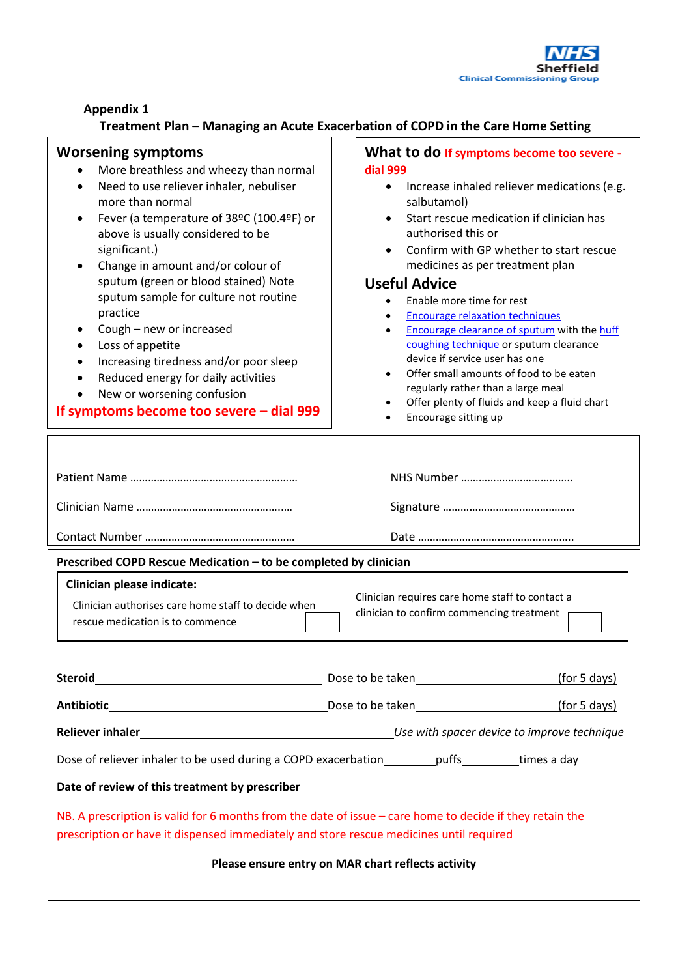

**Appendix 1**

# **Treatment Plan – Managing an Acute Exacerbation of COPD in the Care Home Setting**

<span id="page-3-1"></span><span id="page-3-0"></span>

| <b>Worsening symptoms</b><br>More breathless and wheezy than normal<br>Need to use reliever inhaler, nebuliser<br>$\bullet$<br>more than normal<br>Fever (a temperature of 38°C (100.4°F) or<br>$\bullet$<br>above is usually considered to be<br>significant.)<br>Change in amount and/or colour of<br>sputum (green or blood stained) Note<br>sputum sample for culture not routine<br>practice<br>Cough - new or increased<br>٠<br>Loss of appetite<br>$\bullet$<br>Increasing tiredness and/or poor sleep<br>Reduced energy for daily activities<br>New or worsening confusion<br>If symptoms become too severe $-$ dial 999 | What to do If symptoms become too severe -<br>dial 999<br>Increase inhaled reliever medications (e.g.<br>$\bullet$<br>salbutamol)<br>Start rescue medication if clinician has<br>authorised this or<br>Confirm with GP whether to start rescue<br>medicines as per treatment plan<br><b>Useful Advice</b><br>Enable more time for rest<br><b>Encourage relaxation techniques</b><br><b>Encourage clearance of sputum with the huff</b><br>coughing technique or sputum clearance<br>device if service user has one<br>Offer small amounts of food to be eaten<br>regularly rather than a large meal<br>Offer plenty of fluids and keep a fluid chart<br>Encourage sitting up |  |  |  |
|----------------------------------------------------------------------------------------------------------------------------------------------------------------------------------------------------------------------------------------------------------------------------------------------------------------------------------------------------------------------------------------------------------------------------------------------------------------------------------------------------------------------------------------------------------------------------------------------------------------------------------|------------------------------------------------------------------------------------------------------------------------------------------------------------------------------------------------------------------------------------------------------------------------------------------------------------------------------------------------------------------------------------------------------------------------------------------------------------------------------------------------------------------------------------------------------------------------------------------------------------------------------------------------------------------------------|--|--|--|
|                                                                                                                                                                                                                                                                                                                                                                                                                                                                                                                                                                                                                                  |                                                                                                                                                                                                                                                                                                                                                                                                                                                                                                                                                                                                                                                                              |  |  |  |
|                                                                                                                                                                                                                                                                                                                                                                                                                                                                                                                                                                                                                                  |                                                                                                                                                                                                                                                                                                                                                                                                                                                                                                                                                                                                                                                                              |  |  |  |
| Prescribed COPD Rescue Medication - to be completed by clinician<br><b>Clinician please indicate:</b><br>Clinician requires care home staff to contact a<br>Clinician authorises care home staff to decide when<br>clinician to confirm commencing treatment<br>rescue medication is to commence                                                                                                                                                                                                                                                                                                                                 |                                                                                                                                                                                                                                                                                                                                                                                                                                                                                                                                                                                                                                                                              |  |  |  |
| Steroid <b>Steroid Steroid Steroid Steroid Steroid Steroid Steroid Steroid Steroid Steroid Steroid Steroid Steroid Steroid Steroid Steroid Steroid Steroid Steroid Steroid Steroid Steroid Steroid Steroid Steroid Steroid Stero</b>                                                                                                                                                                                                                                                                                                                                                                                             |                                                                                                                                                                                                                                                                                                                                                                                                                                                                                                                                                                                                                                                                              |  |  |  |
|                                                                                                                                                                                                                                                                                                                                                                                                                                                                                                                                                                                                                                  |                                                                                                                                                                                                                                                                                                                                                                                                                                                                                                                                                                                                                                                                              |  |  |  |
|                                                                                                                                                                                                                                                                                                                                                                                                                                                                                                                                                                                                                                  |                                                                                                                                                                                                                                                                                                                                                                                                                                                                                                                                                                                                                                                                              |  |  |  |
| Dose of reliever inhaler to be used during a COPD exacerbation__________puffs_________times a day                                                                                                                                                                                                                                                                                                                                                                                                                                                                                                                                |                                                                                                                                                                                                                                                                                                                                                                                                                                                                                                                                                                                                                                                                              |  |  |  |
| Date of review of this treatment by prescriber _________________________________                                                                                                                                                                                                                                                                                                                                                                                                                                                                                                                                                 |                                                                                                                                                                                                                                                                                                                                                                                                                                                                                                                                                                                                                                                                              |  |  |  |
| NB. A prescription is valid for 6 months from the date of issue - care home to decide if they retain the<br>prescription or have it dispensed immediately and store rescue medicines until required                                                                                                                                                                                                                                                                                                                                                                                                                              |                                                                                                                                                                                                                                                                                                                                                                                                                                                                                                                                                                                                                                                                              |  |  |  |
| Please ensure entry on MAR chart reflects activity                                                                                                                                                                                                                                                                                                                                                                                                                                                                                                                                                                               |                                                                                                                                                                                                                                                                                                                                                                                                                                                                                                                                                                                                                                                                              |  |  |  |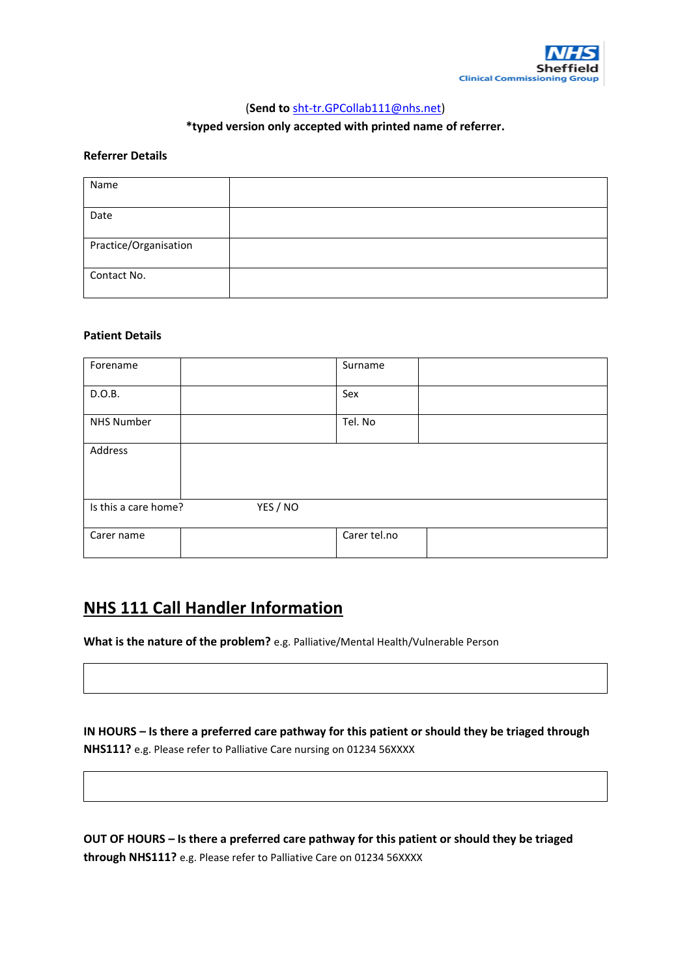

### (**Send to** [sht-tr.GPCollab111@nhs.net\)](mailto:sht-tr.GPCollab111@nhs.net)

### **\*typed version only accepted with printed name of referrer.**

#### **Referrer Details**

| Name                  |  |
|-----------------------|--|
| Date                  |  |
| Practice/Organisation |  |
| Contact No.           |  |

#### **Patient Details**

| Forename             |          | Surname      |  |
|----------------------|----------|--------------|--|
| D.O.B.               |          | Sex          |  |
| <b>NHS Number</b>    |          | Tel. No      |  |
| Address              |          |              |  |
| Is this a care home? | YES / NO |              |  |
| Carer name           |          | Carer tel.no |  |

# **NHS 111 Call Handler Information**

**What is the nature of the problem?** e.g. Palliative/Mental Health/Vulnerable Person

**IN HOURS – Is there a preferred care pathway for this patient or should they be triaged through NHS111?** e.g. Please refer to Palliative Care nursing on 01234 56XXXX

**OUT OF HOURS – Is there a preferred care pathway for this patient or should they be triaged through NHS111?** e.g. Please refer to Palliative Care on 01234 56XXXX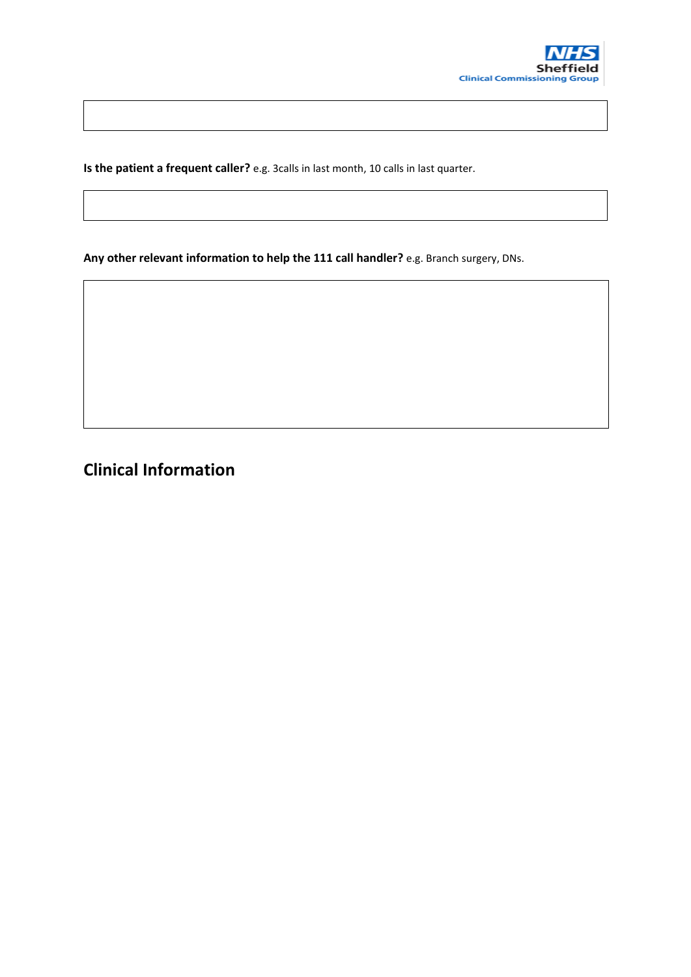

**Is the patient a frequent caller?** e.g. 3calls in last month, 10 calls in last quarter.

**Any other relevant information to help the 111 call handler?** e.g. Branch surgery, DNs.

**Clinical Information**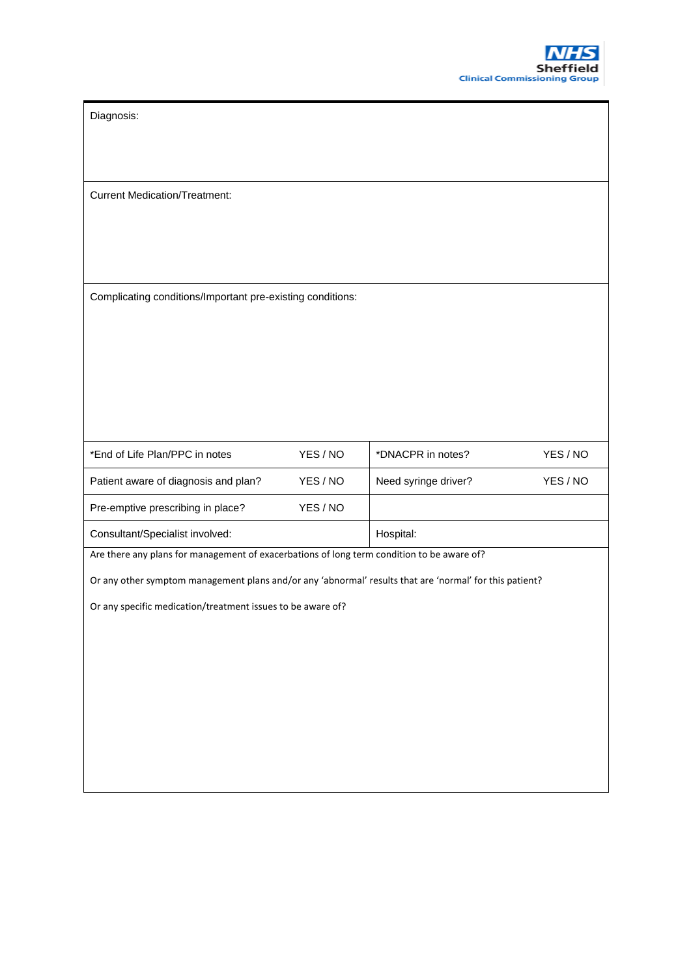Diagnosis:

Current Medication/Treatment:

Complicating conditions/Important pre-existing conditions:

| *End of Life Plan/PPC in notes       | YES / NO | *DNACPR in notes?    | YES / NO |
|--------------------------------------|----------|----------------------|----------|
| Patient aware of diagnosis and plan? | YES / NO | Need syringe driver? | YES / NO |
| Pre-emptive prescribing in place?    | YES / NO |                      |          |
| Consultant/Specialist involved:      |          | Hospital:            |          |

Are there any plans for management of exacerbations of long term condition to be aware of?

Or any other symptom management plans and/or any 'abnormal' results that are 'normal' for this patient?

Or any specific medication/treatment issues to be aware of?